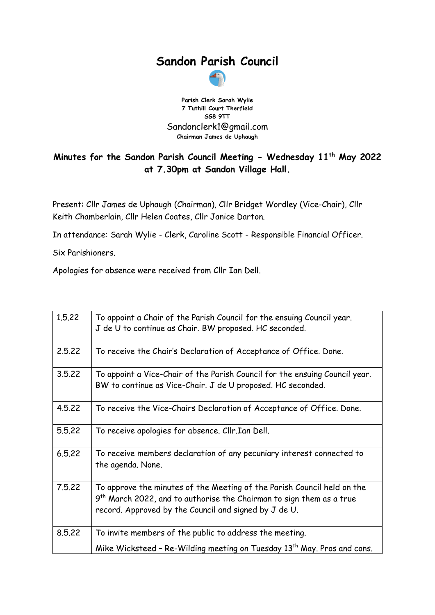## **Sandon Parish Council**



**Parish Clerk Sarah Wylie 7 Tuthill Court Therfield SG8 9TT** Sandonclerk1@gmail.com **Chairman James de Uphaugh**

## **Minutes for the Sandon Parish Council Meeting - Wednesday 11th May 2022 at 7.30pm at Sandon Village Hall.**

Present: Cllr James de Uphaugh (Chairman), Cllr Bridget Wordley (Vice-Chair), Cllr Keith Chamberlain, Cllr Helen Coates, Cllr Janice Darton.

In attendance: Sarah Wylie - Clerk, Caroline Scott - Responsible Financial Officer.

Six Parishioners.

Apologies for absence were received from Cllr Ian Dell.

| 1.5.22 | To appoint a Chair of the Parish Council for the ensuing Council year.<br>J de U to continue as Chair. BW proposed. HC seconded.                                                                           |
|--------|------------------------------------------------------------------------------------------------------------------------------------------------------------------------------------------------------------|
| 2.5.22 | To receive the Chair's Declaration of Acceptance of Office. Done.                                                                                                                                          |
| 3.5.22 | To appoint a Vice-Chair of the Parish Council for the ensuing Council year.<br>BW to continue as Vice-Chair. J de U proposed. HC seconded.                                                                 |
| 4.5.22 | To receive the Vice-Chairs Declaration of Acceptance of Office. Done.                                                                                                                                      |
| 5.5.22 | To receive apologies for absence. Cllr.Ian Dell.                                                                                                                                                           |
| 6.5.22 | To receive members declaration of any pecuniary interest connected to<br>the agenda. None.                                                                                                                 |
| 7.5.22 | To approve the minutes of the Meeting of the Parish Council held on the<br>$9th$ March 2022, and to authorise the Chairman to sign them as a true<br>record. Approved by the Council and signed by J de U. |
| 8.5.22 | To invite members of the public to address the meeting.                                                                                                                                                    |
|        | Mike Wicksteed - Re-Wilding meeting on Tuesday 13 <sup>th</sup> May. Pros and cons.                                                                                                                        |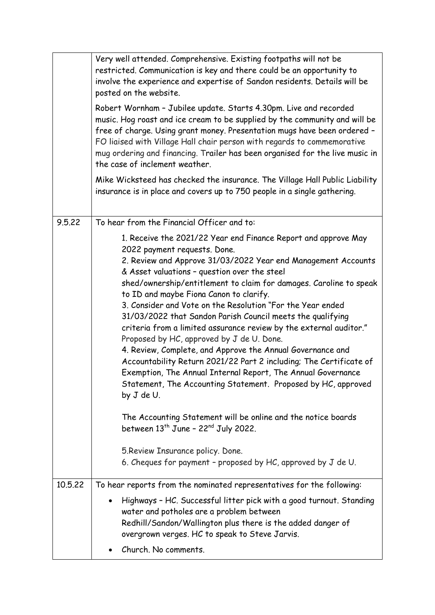|         | Very well attended. Comprehensive. Existing footpaths will not be<br>restricted. Communication is key and there could be an opportunity to<br>involve the experience and expertise of Sandon residents. Details will be<br>posted on the website.<br>Robert Wornham - Jubilee update. Starts 4.30pm. Live and recorded<br>music. Hog roast and ice cream to be supplied by the community and will be<br>free of charge. Using grant money. Presentation mugs have been ordered -<br>FO liaised with Village Hall chair person with regards to commemorative<br>mug ordering and financing. Trailer has been organised for the live music in<br>the case of inclement weather.<br>Mike Wicksteed has checked the insurance. The Village Hall Public Liability<br>insurance is in place and covers up to 750 people in a single gathering.                                                                                                                                                                                                                                                         |
|---------|--------------------------------------------------------------------------------------------------------------------------------------------------------------------------------------------------------------------------------------------------------------------------------------------------------------------------------------------------------------------------------------------------------------------------------------------------------------------------------------------------------------------------------------------------------------------------------------------------------------------------------------------------------------------------------------------------------------------------------------------------------------------------------------------------------------------------------------------------------------------------------------------------------------------------------------------------------------------------------------------------------------------------------------------------------------------------------------------------|
| 9.5.22  | To hear from the Financial Officer and to:                                                                                                                                                                                                                                                                                                                                                                                                                                                                                                                                                                                                                                                                                                                                                                                                                                                                                                                                                                                                                                                       |
|         | 1. Receive the 2021/22 Year end Finance Report and approve May<br>2022 payment requests. Done.<br>2. Review and Approve 31/03/2022 Year end Management Accounts<br>& Asset valuations - question over the steel<br>shed/ownership/entitlement to claim for damages. Caroline to speak<br>to ID and maybe Fiona Canon to clarify.<br>3. Consider and Vote on the Resolution "For the Year ended<br>31/03/2022 that Sandon Parish Council meets the qualifying<br>criteria from a limited assurance review by the external auditor."<br>Proposed by HC, approved by J de U. Done.<br>4. Review, Complete, and Approve the Annual Governance and<br>Accountability Return 2021/22 Part 2 including; The Certificate of<br>Exemption, The Annual Internal Report, The Annual Governance<br>Statement, The Accounting Statement. Proposed by HC, approved<br>by J de U.<br>The Accounting Statement will be online and the notice boards<br>between $13^{th}$ June - 22 <sup>nd</sup> July 2022.<br>5. Review Insurance policy. Done.<br>6. Cheques for payment - proposed by HC, approved by J de U. |
| 10.5.22 | To hear reports from the nominated representatives for the following:<br>Highways - HC. Successful litter pick with a good turnout. Standing<br>water and potholes are a problem between<br>Redhill/Sandon/Wallington plus there is the added danger of                                                                                                                                                                                                                                                                                                                                                                                                                                                                                                                                                                                                                                                                                                                                                                                                                                          |
|         | overgrown verges. HC to speak to Steve Jarvis.<br>Church. No comments.                                                                                                                                                                                                                                                                                                                                                                                                                                                                                                                                                                                                                                                                                                                                                                                                                                                                                                                                                                                                                           |
|         |                                                                                                                                                                                                                                                                                                                                                                                                                                                                                                                                                                                                                                                                                                                                                                                                                                                                                                                                                                                                                                                                                                  |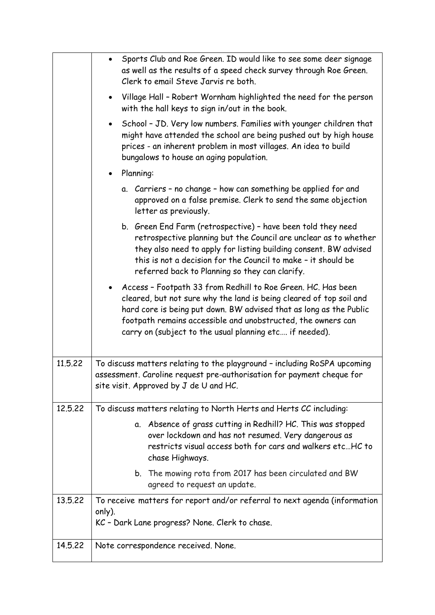|         | Sports Club and Roe Green. ID would like to see some deer signage<br>as well as the results of a speed check survey through Roe Green.<br>Clerk to email Steve Jarvis re both.                                                                                                                                                       |
|---------|--------------------------------------------------------------------------------------------------------------------------------------------------------------------------------------------------------------------------------------------------------------------------------------------------------------------------------------|
|         | Village Hall - Robert Wornham highlighted the need for the person<br>$\bullet$<br>with the hall keys to sign in/out in the book.                                                                                                                                                                                                     |
|         | School - JD. Very low numbers. Families with younger children that<br>$\bullet$<br>might have attended the school are being pushed out by high house<br>prices - an inherent problem in most villages. An idea to build<br>bungalows to house an aging population.                                                                   |
|         | Planning:                                                                                                                                                                                                                                                                                                                            |
|         | a. Carriers - no change - how can something be applied for and<br>approved on a false premise. Clerk to send the same objection<br>letter as previously.                                                                                                                                                                             |
|         | b. Green End Farm (retrospective) - have been told they need<br>retrospective planning but the Council are unclear as to whether<br>they also need to apply for listing building consent. BW advised<br>this is not a decision for the Council to make - it should be<br>referred back to Planning so they can clarify.              |
|         | Access - Footpath 33 from Redhill to Roe Green. HC. Has been<br>cleared, but not sure why the land is being cleared of top soil and<br>hard core is being put down. BW advised that as long as the Public<br>footpath remains accessible and unobstructed, the owners can<br>carry on (subject to the usual planning etc if needed). |
| 11.5.22 | To discuss matters relating to the playground - including RoSPA upcoming<br>assessment. Caroline request pre-authorisation for payment cheque for<br>site visit. Approved by J de U and HC.                                                                                                                                          |
| 12.5.22 | To discuss matters relating to North Herts and Herts CC including:                                                                                                                                                                                                                                                                   |
|         | a. Absence of grass cutting in Redhill? HC. This was stopped<br>over lockdown and has not resumed. Very dangerous as<br>restricts visual access both for cars and walkers etcHC to<br>chase Highways.                                                                                                                                |
|         | b. The mowing rota from 2017 has been circulated and BW<br>agreed to request an update.                                                                                                                                                                                                                                              |
| 13.5.22 | To receive matters for report and/or referral to next agenda (information<br>only).<br>KC - Dark Lane progress? None. Clerk to chase.                                                                                                                                                                                                |
| 14.5.22 | Note correspondence received. None.                                                                                                                                                                                                                                                                                                  |